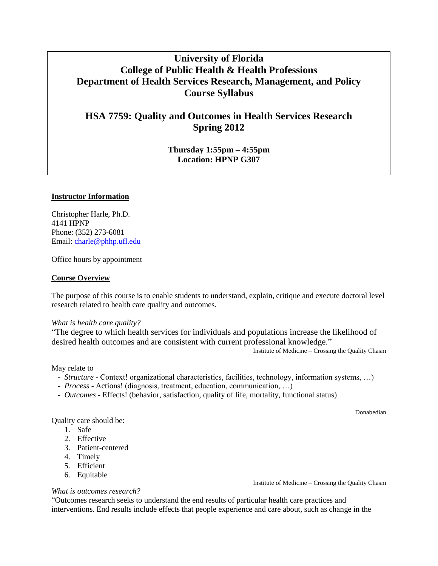# **University of Florida College of Public Health & Health Professions Department of Health Services Research, Management, and Policy Course Syllabus**

# **HSA 7759: Quality and Outcomes in Health Services Research Spring 2012**

**Thursday 1:55pm – 4:55pm Location: HPNP G307**

## **Instructor Information**

Christopher Harle, Ph.D. 4141 HPNP Phone: (352) 273-6081 Email: [charle@phhp.ufl.edu](mailto:charle@phhp.ufl.edu)

Office hours by appointment

## **Course Overview**

The purpose of this course is to enable students to understand, explain, critique and execute doctoral level research related to health care quality and outcomes.

#### *What is health care quality?*

"The degree to which health services for individuals and populations increase the likelihood of desired health outcomes and are consistent with current professional knowledge."

Institute of Medicine – Crossing the Quality Chasm

#### May relate to

- *Structure* Context! organizational characteristics, facilities, technology, information systems, …)
- *Process* Actions! (diagnosis, treatment, education, communication, …)
- *Outcomes*  Effects! (behavior, satisfaction, quality of life, mortality, functional status)

Donabedian

Quality care should be:

- 1. Safe
- 2. Effective
- 3. Patient-centered
- 4. Timely
- 5. Efficient
- 6. Equitable

#### *What is outcomes research?*

"Outcomes research seeks to understand the end results of particular health care practices and interventions. End results include effects that people experience and care about, such as change in the

Institute of Medicine – Crossing the Quality Chasm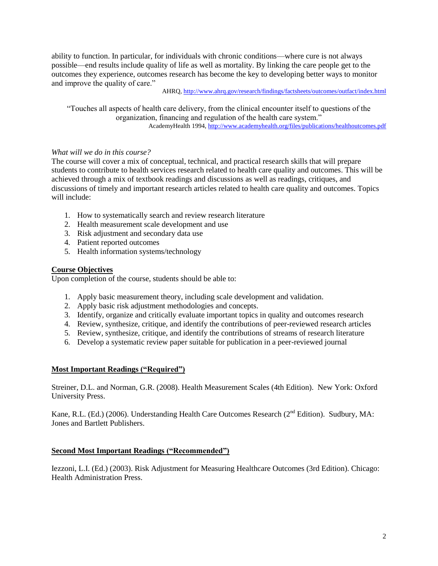ability to function. In particular, for individuals with chronic conditions—where cure is not always possible—end results include quality of life as well as mortality. By linking the care people get to the outcomes they experience, outcomes research has become the key to developing better ways to monitor and improve the quality of care."

AHRQ,<http://www.ahrq.gov/research/findings/factsheets/outcomes/outfact/index.html>

"Touches all aspects of health care delivery, from the clinical encounter itself to questions of the organization, financing and regulation of the health care system." AcademyHealth 1994,<http://www.academyhealth.org/files/publications/healthoutcomes.pdf>

## *What will we do in this course?*

The course will cover a mix of conceptual, technical, and practical research skills that will prepare students to contribute to health services research related to health care quality and outcomes. This will be achieved through a mix of textbook readings and discussions as well as readings, critiques, and discussions of timely and important research articles related to health care quality and outcomes. Topics will include:

- 1. How to systematically search and review research literature
- 2. Health measurement scale development and use
- 3. Risk adjustment and secondary data use
- 4. Patient reported outcomes
- 5. Health information systems/technology

## **Course Objectives**

Upon completion of the course, students should be able to:

- 1. Apply basic measurement theory, including scale development and validation.
- 2. Apply basic risk adjustment methodologies and concepts.
- 3. Identify, organize and critically evaluate important topics in quality and outcomes research
- 4. Review, synthesize, critique, and identify the contributions of peer-reviewed research articles
- 5. Review, synthesize, critique, and identify the contributions of streams of research literature
- 6. Develop a systematic review paper suitable for publication in a peer-reviewed journal

## **Most Important Readings ("Required")**

Streiner, D.L. and Norman, G.R. (2008). Health Measurement Scales (4th Edition). New York: Oxford University Press.

Kane, R.L. (Ed.) (2006). Understanding Health Care Outcomes Research ( $2<sup>nd</sup>$  Edition). Sudbury, MA: Jones and Bartlett Publishers.

#### **Second Most Important Readings ("Recommended")**

Iezzoni, L.I. (Ed.) (2003). Risk Adjustment for Measuring Healthcare Outcomes (3rd Edition). Chicago: Health Administration Press.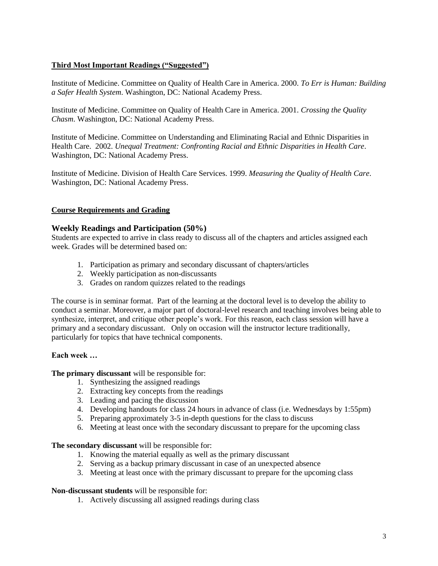# **Third Most Important Readings ("Suggested")**

Institute of Medicine. Committee on Quality of Health Care in America. 2000. *To Err is Human: Building a Safer Health System*. Washington, DC: National Academy Press.

Institute of Medicine. Committee on Quality of Health Care in America. 2001. *Crossing the Quality Chasm*. Washington, DC: National Academy Press.

Institute of Medicine. Committee on Understanding and Eliminating Racial and Ethnic Disparities in Health Care. 2002. *Unequal Treatment: Confronting Racial and Ethnic Disparities in Health Care*. Washington, DC: National Academy Press.

Institute of Medicine. Division of Health Care Services. 1999. *Measuring the Quality of Health Care*. Washington, DC: National Academy Press.

# **Course Requirements and Grading**

# **Weekly Readings and Participation (50%)**

Students are expected to arrive in class ready to discuss all of the chapters and articles assigned each week. Grades will be determined based on:

- 1. Participation as primary and secondary discussant of chapters/articles
- 2. Weekly participation as non-discussants
- 3. Grades on random quizzes related to the readings

The course is in seminar format. Part of the learning at the doctoral level is to develop the ability to conduct a seminar. Moreover, a major part of doctoral-level research and teaching involves being able to synthesize, interpret, and critique other people's work. For this reason, each class session will have a primary and a secondary discussant. Only on occasion will the instructor lecture traditionally, particularly for topics that have technical components.

## **Each week …**

**The primary discussant** will be responsible for:

- 1. Synthesizing the assigned readings
- 2. Extracting key concepts from the readings
- 3. Leading and pacing the discussion
- 4. Developing handouts for class 24 hours in advance of class (i.e. Wednesdays by 1:55pm)
- 5. Preparing approximately 3-5 in-depth questions for the class to discuss
- 6. Meeting at least once with the secondary discussant to prepare for the upcoming class

#### **The secondary discussant** will be responsible for:

- 1. Knowing the material equally as well as the primary discussant
- 2. Serving as a backup primary discussant in case of an unexpected absence
- 3. Meeting at least once with the primary discussant to prepare for the upcoming class

#### **Non-discussant students** will be responsible for:

1. Actively discussing all assigned readings during class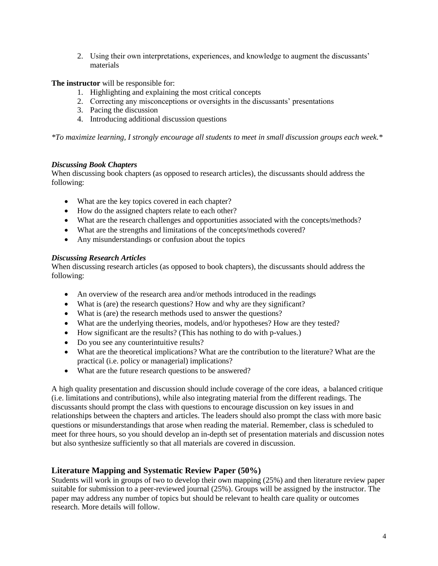2. Using their own interpretations, experiences, and knowledge to augment the discussants' materials

**The instructor** will be responsible for:

- 1. Highlighting and explaining the most critical concepts
- 2. Correcting any misconceptions or oversights in the discussants' presentations
- 3. Pacing the discussion
- 4. Introducing additional discussion questions

*\*To maximize learning, I strongly encourage all students to meet in small discussion groups each week.\**

# *Discussing Book Chapters*

When discussing book chapters (as opposed to research articles), the discussants should address the following:

- What are the key topics covered in each chapter?
- How do the assigned chapters relate to each other?
- What are the research challenges and opportunities associated with the concepts/methods?
- What are the strengths and limitations of the concepts/methods covered?
- Any misunderstandings or confusion about the topics

# *Discussing Research Articles*

When discussing research articles (as opposed to book chapters), the discussants should address the following:

- An overview of the research area and/or methods introduced in the readings
- What is (are) the research questions? How and why are they significant?
- What is (are) the research methods used to answer the questions?
- What are the underlying theories, models, and/or hypotheses? How are they tested?
- How significant are the results? (This has nothing to do with p-values.)
- Do you see any counterintuitive results?
- What are the theoretical implications? What are the contribution to the literature? What are the practical (i.e. policy or managerial) implications?
- What are the future research questions to be answered?

A high quality presentation and discussion should include coverage of the core ideas, a balanced critique (i.e. limitations and contributions), while also integrating material from the different readings. The discussants should prompt the class with questions to encourage discussion on key issues in and relationships between the chapters and articles. The leaders should also prompt the class with more basic questions or misunderstandings that arose when reading the material. Remember, class is scheduled to meet for three hours, so you should develop an in-depth set of presentation materials and discussion notes but also synthesize sufficiently so that all materials are covered in discussion.

# **Literature Mapping and Systematic Review Paper (50%)**

Students will work in groups of two to develop their own mapping (25%) and then literature review paper suitable for submission to a peer-reviewed journal (25%). Groups will be assigned by the instructor. The paper may address any number of topics but should be relevant to health care quality or outcomes research. More details will follow.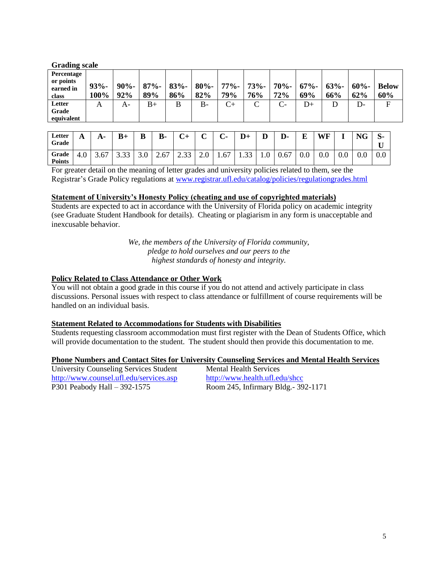| <b>Grading scale</b>                          |                 |                |                |                |                |                |                |                |                |                |                |                     |
|-----------------------------------------------|-----------------|----------------|----------------|----------------|----------------|----------------|----------------|----------------|----------------|----------------|----------------|---------------------|
| Percentage<br>or points<br>earned in<br>class | $93% -$<br>100% | $90% -$<br>92% | $87% -$<br>89% | $83% -$<br>86% | $80% -$<br>82% | $77% -$<br>79% | $73% -$<br>76% | $70% -$<br>72% | $67% -$<br>69% | $63% -$<br>66% | $60% -$<br>62% | <b>Below</b><br>60% |
| Letter<br>Grade<br>equivalent                 | А               | A-             | $_{\rm B+}$    | B              | $B -$          | $_{\rm C+}$    | $\mathsf{C}$   | $C-$           | $D+$           | D              | D-             | F                   |

| Letter<br>Grade        | A   | A-   | $B+$        | B   | <b>B-</b> | $\sim$<br>◡⊤   | $\sim$<br>ັ | $\curvearrowright$<br>. . | $D+$           | D   | D-   | E<br>- | WF              |     | <b>NG</b> | $\mathbf{C}$<br>ত-<br>-- |
|------------------------|-----|------|-------------|-----|-----------|----------------|-------------|---------------------------|----------------|-----|------|--------|-----------------|-----|-----------|--------------------------|
| Grade<br><b>Points</b> | 4.U | 3.67 | 22<br>ر ر.ر | 3.0 | 2.67      | $\cap$<br>2.33 | 2.U         | 1.67                      | $\cap$<br>1.JJ | 1.0 | 0.67 | 0.0    | $\Omega$<br>v.v | 0.0 | v.v       | 0.0                      |

For greater detail on the meaning of letter grades and university policies related to them, see the Registrar's Grade Policy regulations at [www.registrar.ufl.edu/catalog/policies/regulationgrades.html](http://www.registrar.ufl.edu/catalog/policies/regulationgrades.html)

## **Statement of University's Honesty Policy (cheating and use of copyrighted materials)**

Students are expected to act in accordance with the University of Florida policy on academic integrity (see Graduate Student Handbook for details). Cheating or plagiarism in any form is unacceptable and inexcusable behavior.

> *We, the members of the University of Florida community, pledge to hold ourselves and our peers to the highest standards of honesty and integrity.*

## **Policy Related to Class Attendance or Other Work**

You will not obtain a good grade in this course if you do not attend and actively participate in class discussions. Personal issues with respect to class attendance or fulfillment of course requirements will be handled on an individual basis.

# **Statement Related to Accommodations for Students with Disabilities**

Students requesting classroom accommodation must first register with the Dean of Students Office, which will provide documentation to the student. The student should then provide this documentation to me.

## **Phone Numbers and Contact Sites for University Counseling Services and Mental Health Services**

| University Counseling Services Student  | Mental Health Services               |  |  |  |
|-----------------------------------------|--------------------------------------|--|--|--|
| http://www.counsel.ufl.edu/services.asp | http://www.health.ufl.edu/shcc       |  |  |  |
| P301 Peabody Hall – 392-1575            | Room 245, Infirmary Bldg. - 392-1171 |  |  |  |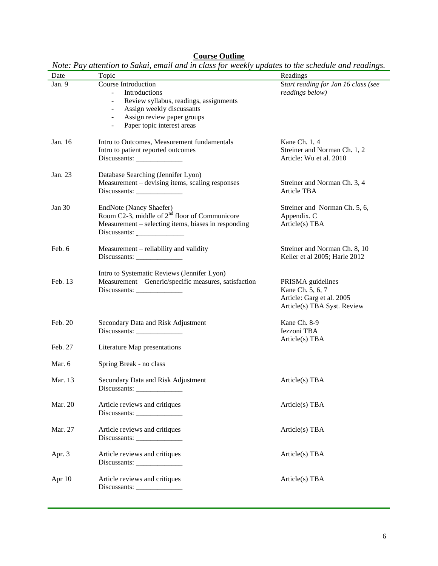#### **Course Outline**

| Date    | Topic                                                                                                                                                                                                                                         | Readings                                                                                          |
|---------|-----------------------------------------------------------------------------------------------------------------------------------------------------------------------------------------------------------------------------------------------|---------------------------------------------------------------------------------------------------|
| Jan. 9  | Course Introduction<br>Introductions<br>Review syllabus, readings, assignments<br>$\overline{\phantom{0}}$<br>Assign weekly discussants<br>$\blacksquare$<br>Assign review paper groups<br>$\blacksquare$<br>Paper topic interest areas<br>÷, | Start reading for Jan 16 class (see<br>readings below)                                            |
| Jan. 16 | Intro to Outcomes, Measurement fundamentals<br>Intro to patient reported outcomes                                                                                                                                                             | Kane Ch. 1, 4<br>Streiner and Norman Ch. 1, 2<br>Article: Wu et al. 2010                          |
| Jan. 23 | Database Searching (Jennifer Lyon)<br>Measurement - devising items, scaling responses<br>$Discussionts: \_$                                                                                                                                   | Streiner and Norman Ch. 3, 4<br>Article TBA                                                       |
| Jan 30  | EndNote (Nancy Shaefer)<br>Room C2-3, middle of $2nd$ floor of Communicore<br>Measurement – selecting items, biases in responding                                                                                                             | Streiner and Norman Ch. 5, 6,<br>Appendix. C<br>Article(s) TBA                                    |
| Feb. 6  | Measurement – reliability and validity                                                                                                                                                                                                        | Streiner and Norman Ch. 8, 10<br>Keller et al 2005; Harle 2012                                    |
| Feb. 13 | Intro to Systematic Reviews (Jennifer Lyon)<br>Measurement - Generic/specific measures, satisfaction<br>$Discussionts: \_$                                                                                                                    | PRISMA guidelines<br>Kane Ch. 5, 6, 7<br>Article: Garg et al. 2005<br>Article(s) TBA Syst. Review |
| Feb. 20 | Secondary Data and Risk Adjustment                                                                                                                                                                                                            | Kane Ch. 8-9<br>Iezzoni TBA<br>Article(s) TBA                                                     |
| Feb. 27 | Literature Map presentations                                                                                                                                                                                                                  |                                                                                                   |
| Mar. 6  | Spring Break - no class                                                                                                                                                                                                                       |                                                                                                   |
| Mar. 13 | Secondary Data and Risk Adjustment<br>Discussants:                                                                                                                                                                                            | Article(s) TBA                                                                                    |
| Mar. 20 | Article reviews and critiques                                                                                                                                                                                                                 | Article(s) TBA                                                                                    |
| Mar. 27 | Article reviews and critiques                                                                                                                                                                                                                 | Article(s) TBA                                                                                    |
| Apr. 3  | Article reviews and critiques<br>$Discussionts: \_$                                                                                                                                                                                           | Article(s) TBA                                                                                    |
| Apr 10  | Article reviews and critiques<br>$Discussionts: \_$                                                                                                                                                                                           | Article(s) TBA                                                                                    |

*Note: Pay attention to Sakai, email and in class for weekly updates to the schedule and readings.*